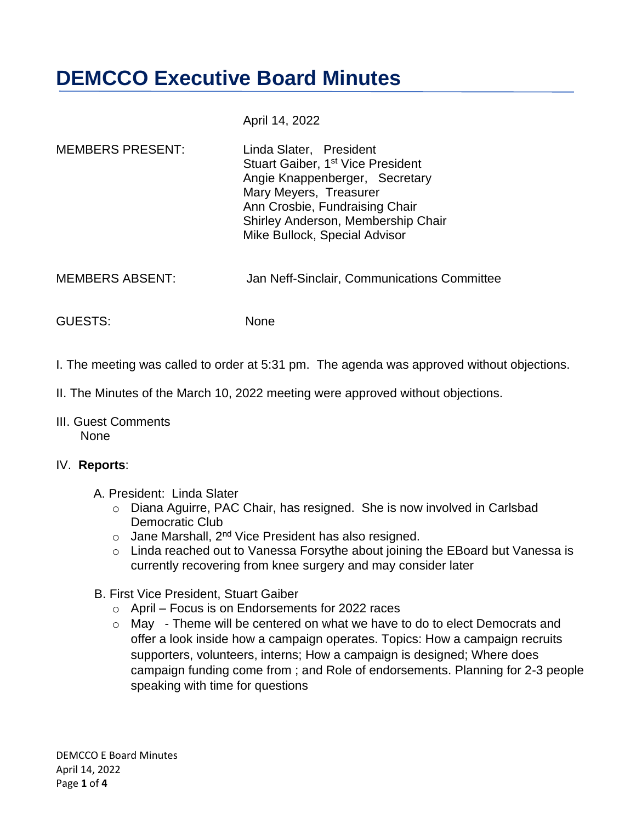# **DEMCCO Executive Board Minutes**

April 14, 2022

| <b>MEMBERS PRESENT:</b> | Linda Slater, President<br>Stuart Gaiber, 1 <sup>st</sup> Vice President<br>Angie Knappenberger, Secretary<br>Mary Meyers, Treasurer<br>Ann Crosbie, Fundraising Chair<br>Shirley Anderson, Membership Chair<br>Mike Bullock, Special Advisor |
|-------------------------|-----------------------------------------------------------------------------------------------------------------------------------------------------------------------------------------------------------------------------------------------|
|-------------------------|-----------------------------------------------------------------------------------------------------------------------------------------------------------------------------------------------------------------------------------------------|

MEMBERS ABSENT: Jan Neff-Sinclair, Communications Committee

GUESTS: None

- I. The meeting was called to order at 5:31 pm. The agenda was approved without objections.
- II. The Minutes of the March 10, 2022 meeting were approved without objections.
- III. Guest Comments None

#### IV. **Reports**:

- A. President: Linda Slater
	- o Diana Aguirre, PAC Chair, has resigned. She is now involved in Carlsbad Democratic Club
	- $\circ$  Jane Marshall, 2<sup>nd</sup> Vice President has also resigned.
	- o Linda reached out to Vanessa Forsythe about joining the EBoard but Vanessa is currently recovering from knee surgery and may consider later
- B. First Vice President, Stuart Gaiber
	- $\circ$  April Focus is on Endorsements for 2022 races
	- o May Theme will be centered on what we have to do to elect Democrats and offer a look inside how a campaign operates. Topics: How a campaign recruits supporters, volunteers, interns; How a campaign is designed; Where does campaign funding come from ; and Role of endorsements. Planning for 2-3 people speaking with time for questions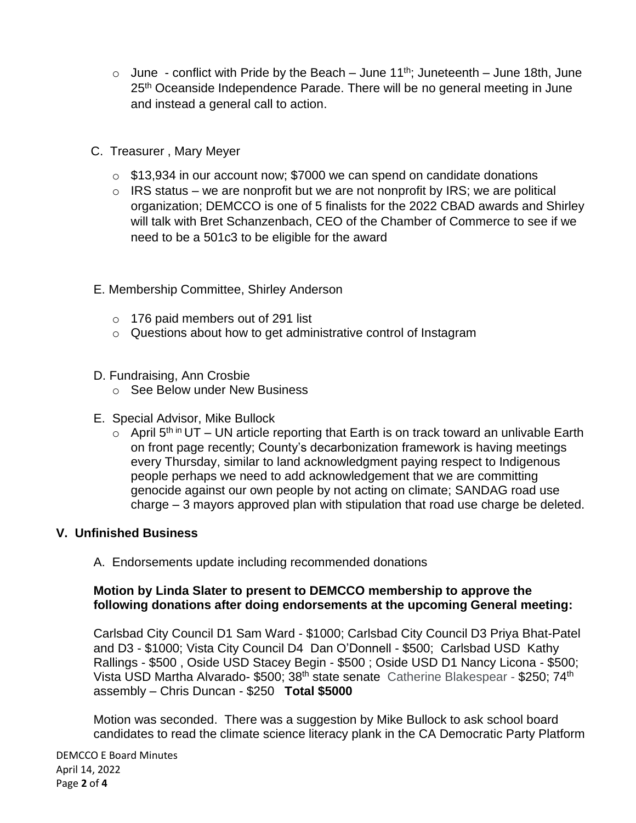- $\circ$  June conflict with Pride by the Beach June 11<sup>th</sup>; Juneteenth June 18th, June 25<sup>th</sup> Oceanside Independence Parade. There will be no general meeting in June and instead a general call to action.
- C. Treasurer , Mary Meyer
	- o \$13,934 in our account now; \$7000 we can spend on candidate donations
	- $\circ$  IRS status we are nonprofit but we are not nonprofit by IRS; we are political organization; DEMCCO is one of 5 finalists for the 2022 CBAD awards and Shirley will talk with Bret Schanzenbach, CEO of the Chamber of Commerce to see if we need to be a 501c3 to be eligible for the award
- E. Membership Committee, Shirley Anderson
	- o 176 paid members out of 291 list
	- o Questions about how to get administrative control of Instagram
- D. Fundraising, Ann Crosbie
	- o See Below under New Business
- E. Special Advisor, Mike Bullock
	- $\circ$  April 5<sup>th in</sup> UT UN article reporting that Earth is on track toward an unlivable Earth on front page recently; County's decarbonization framework is having meetings every Thursday, similar to land acknowledgment paying respect to Indigenous people perhaps we need to add acknowledgement that we are committing genocide against our own people by not acting on climate; SANDAG road use charge – 3 mayors approved plan with stipulation that road use charge be deleted.

# **V. Unfinished Business**

A. Endorsements update including recommended donations

### **Motion by Linda Slater to present to DEMCCO membership to approve the following donations after doing endorsements at the upcoming General meeting:**

Carlsbad City Council D1 Sam Ward - \$1000; Carlsbad City Council D3 Priya Bhat-Patel and D3 - \$1000; Vista City Council D4 Dan O'Donnell - \$500; Carlsbad USD Kathy Rallings - \$500 , Oside USD Stacey Begin - \$500 ; Oside USD D1 Nancy Licona - \$500; Vista USD Martha Alvarado- \$500; 38<sup>th</sup> state senate Catherine Blakespear - \$250; 74<sup>th</sup> assembly – Chris Duncan - \$250 **Total \$5000**

Motion was seconded. There was a suggestion by Mike Bullock to ask school board candidates to read the climate science literacy plank in the CA Democratic Party Platform

DEMCCO E Board Minutes April 14, 2022 Page **2** of **4**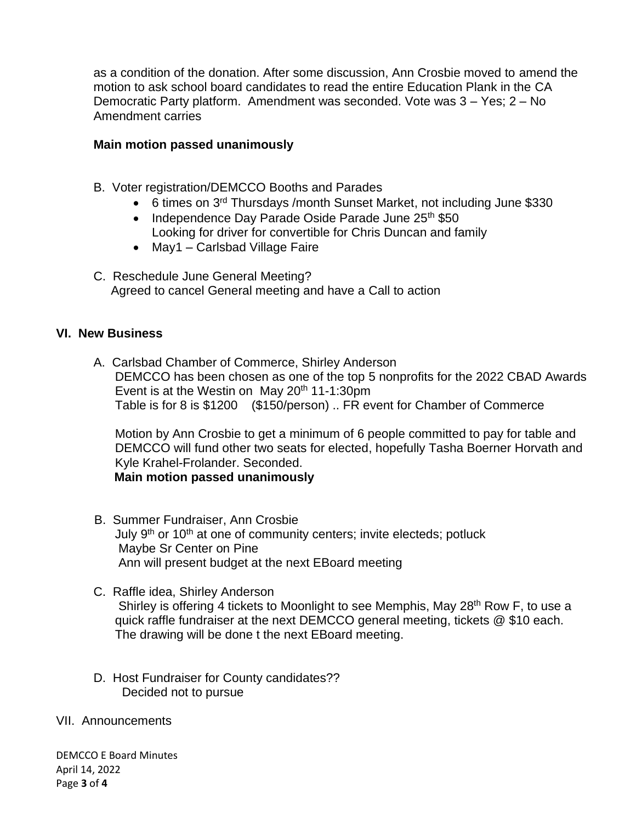as a condition of the donation. After some discussion, Ann Crosbie moved to amend the motion to ask school board candidates to read the entire Education Plank in the CA Democratic Party platform. Amendment was seconded. Vote was 3 – Yes; 2 – No Amendment carries

#### **Main motion passed unanimously**

- B. Voter registration/DEMCCO Booths and Parades
	- 6 times on 3<sup>rd</sup> Thursdays /month Sunset Market, not including June \$330
	- Independence Day Parade Oside Parade June 25<sup>th</sup> \$50 Looking for driver for convertible for Chris Duncan and family
	- May1 Carlsbad Village Faire
- C. Reschedule June General Meeting? Agreed to cancel General meeting and have a Call to action

#### **VI. New Business**

A. Carlsbad Chamber of Commerce, Shirley Anderson DEMCCO has been chosen as one of the top 5 nonprofits for the 2022 CBAD Awards Event is at the Westin on May  $20<sup>th</sup> 11-1:30<sup>pm</sup>$ Table is for 8 is \$1200 (\$150/person) .. FR event for Chamber of Commerce

 Motion by Ann Crosbie to get a minimum of 6 people committed to pay for table and DEMCCO will fund other two seats for elected, hopefully Tasha Boerner Horvath and Kyle Krahel-Frolander. Seconded.

 **Main motion passed unanimously** 

- B. Summer Fundraiser, Ann Crosbie July 9<sup>th</sup> or 10<sup>th</sup> at one of community centers; invite electeds; potluck Maybe Sr Center on Pine Ann will present budget at the next EBoard meeting
- C. Raffle idea, Shirley Anderson Shirley is offering 4 tickets to Moonlight to see Memphis, May 28<sup>th</sup> Row F, to use a quick raffle fundraiser at the next DEMCCO general meeting, tickets @ \$10 each. The drawing will be done t the next EBoard meeting.
- D. Host Fundraiser for County candidates?? Decided not to pursue
- VII. Announcements

DEMCCO E Board Minutes April 14, 2022 Page **3** of **4**